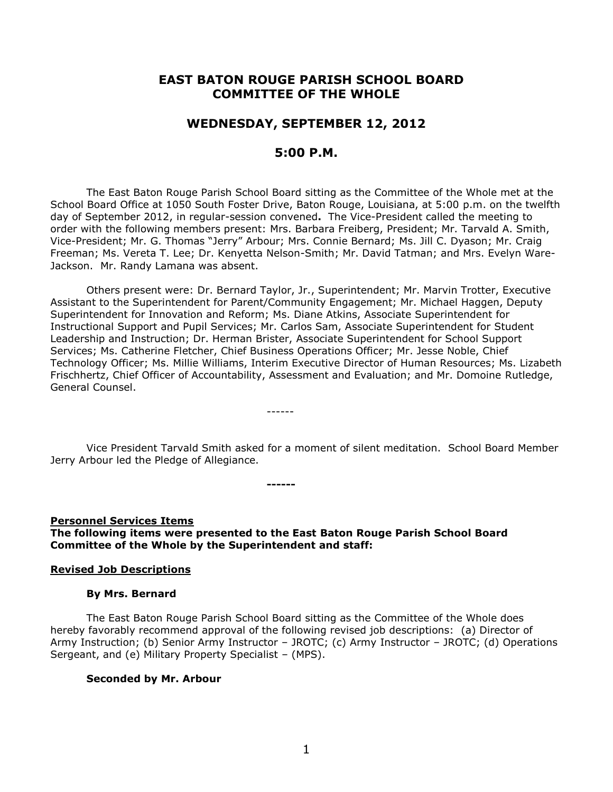# **EAST BATON ROUGE PARISH SCHOOL BOARD COMMITTEE OF THE WHOLE**

## **WEDNESDAY, SEPTEMBER 12, 2012**

# **5:00 P.M.**

The East Baton Rouge Parish School Board sitting as the Committee of the Whole met at the School Board Office at 1050 South Foster Drive, Baton Rouge, Louisiana, at 5:00 p.m. on the twelfth day of September 2012, in regular-session convened**.** The Vice-President called the meeting to order with the following members present: Mrs. Barbara Freiberg, President; Mr. Tarvald A. Smith, Vice-President; Mr. G. Thomas "Jerry" Arbour; Mrs. Connie Bernard; Ms. Jill C. Dyason; Mr. Craig Freeman; Ms. Vereta T. Lee; Dr. Kenyetta Nelson-Smith; Mr. David Tatman; and Mrs. Evelyn Ware-Jackson. Mr. Randy Lamana was absent.

Others present were: Dr. Bernard Taylor, Jr., Superintendent; Mr. Marvin Trotter, Executive Assistant to the Superintendent for Parent/Community Engagement; Mr. Michael Haggen, Deputy Superintendent for Innovation and Reform; Ms. Diane Atkins, Associate Superintendent for Instructional Support and Pupil Services; Mr. Carlos Sam, Associate Superintendent for Student Leadership and Instruction; Dr. Herman Brister, Associate Superintendent for School Support Services; Ms. Catherine Fletcher, Chief Business Operations Officer; Mr. Jesse Noble, Chief Technology Officer; Ms. Millie Williams, Interim Executive Director of Human Resources; Ms. Lizabeth Frischhertz, Chief Officer of Accountability, Assessment and Evaluation; and Mr. Domoine Rutledge, General Counsel.

Vice President Tarvald Smith asked for a moment of silent meditation. School Board Member Jerry Arbour led the Pledge of Allegiance.

**Personnel Services Items The following items were presented to the East Baton Rouge Parish School Board Committee of the Whole by the Superintendent and staff:**

**------**

------

#### **Revised Job Descriptions**

#### **By Mrs. Bernard**

The East Baton Rouge Parish School Board sitting as the Committee of the Whole does hereby favorably recommend approval of the following revised job descriptions: (a) Director of Army Instruction; (b) Senior Army Instructor – JROTC; (c) Army Instructor – JROTC; (d) Operations Sergeant, and (e) Military Property Specialist – (MPS).

#### **Seconded by Mr. Arbour**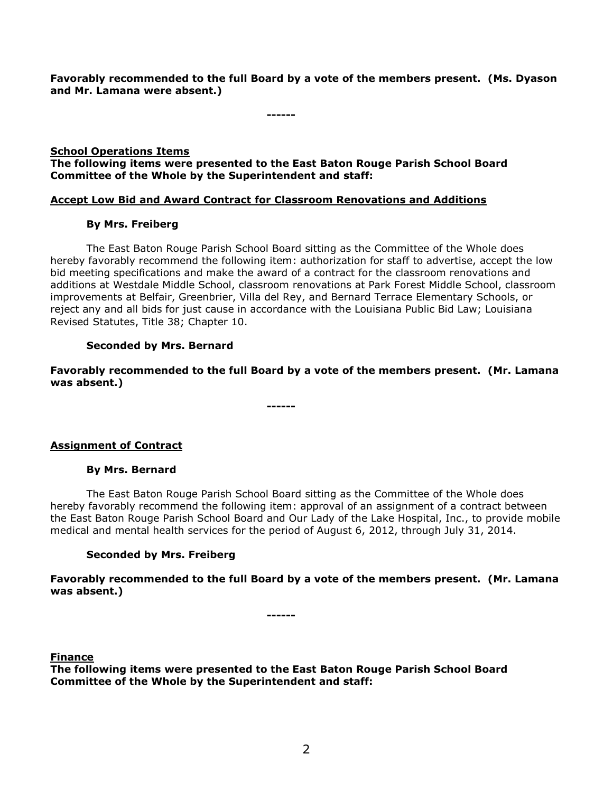**Favorably recommended to the full Board by a vote of the members present. (Ms. Dyason and Mr. Lamana were absent.)**

**------**

## **School Operations Items The following items were presented to the East Baton Rouge Parish School Board Committee of the Whole by the Superintendent and staff:**

# **Accept Low Bid and Award Contract for Classroom Renovations and Additions**

# **By Mrs. Freiberg**

The East Baton Rouge Parish School Board sitting as the Committee of the Whole does hereby favorably recommend the following item: authorization for staff to advertise, accept the low bid meeting specifications and make the award of a contract for the classroom renovations and additions at Westdale Middle School, classroom renovations at Park Forest Middle School, classroom improvements at Belfair, Greenbrier, Villa del Rey, and Bernard Terrace Elementary Schools, or reject any and all bids for just cause in accordance with the Louisiana Public Bid Law; Louisiana Revised Statutes, Title 38; Chapter 10.

# **Seconded by Mrs. Bernard**

**Favorably recommended to the full Board by a vote of the members present. (Mr. Lamana was absent.)**

**------**

**Assignment of Contract**

# **By Mrs. Bernard**

The East Baton Rouge Parish School Board sitting as the Committee of the Whole does hereby favorably recommend the following item: approval of an assignment of a contract between the East Baton Rouge Parish School Board and Our Lady of the Lake Hospital, Inc., to provide mobile medical and mental health services for the period of August 6, 2012, through July 31, 2014.

# **Seconded by Mrs. Freiberg**

**Favorably recommended to the full Board by a vote of the members present. (Mr. Lamana was absent.)**

**------**

## **Finance**

**The following items were presented to the East Baton Rouge Parish School Board Committee of the Whole by the Superintendent and staff:**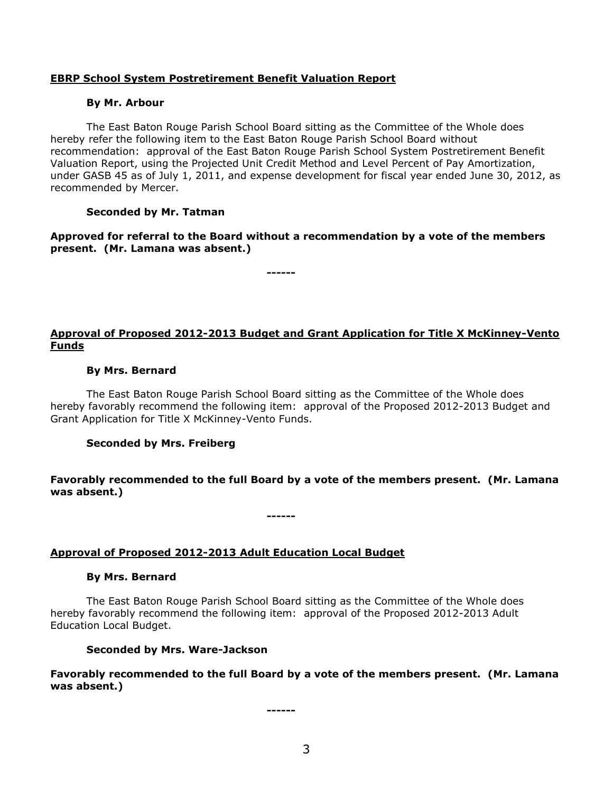## **EBRP School System Postretirement Benefit Valuation Report**

### **By Mr. Arbour**

The East Baton Rouge Parish School Board sitting as the Committee of the Whole does hereby refer the following item to the East Baton Rouge Parish School Board without recommendation: approval of the East Baton Rouge Parish School System Postretirement Benefit Valuation Report, using the Projected Unit Credit Method and Level Percent of Pay Amortization, under GASB 45 as of July 1, 2011, and expense development for fiscal year ended June 30, 2012, as recommended by Mercer.

## **Seconded by Mr. Tatman**

**Approved for referral to the Board without a recommendation by a vote of the members present. (Mr. Lamana was absent.)**

**------**

# **Approval of Proposed 2012-2013 Budget and Grant Application for Title X McKinney-Vento Funds**

## **By Mrs. Bernard**

The East Baton Rouge Parish School Board sitting as the Committee of the Whole does hereby favorably recommend the following item: approval of the Proposed 2012-2013 Budget and Grant Application for Title X McKinney-Vento Funds.

## **Seconded by Mrs. Freiberg**

## **Favorably recommended to the full Board by a vote of the members present. (Mr. Lamana was absent.)**

## **Approval of Proposed 2012-2013 Adult Education Local Budget**

### **By Mrs. Bernard**

The East Baton Rouge Parish School Board sitting as the Committee of the Whole does hereby favorably recommend the following item: approval of the Proposed 2012-2013 Adult Education Local Budget.

**------**

### **Seconded by Mrs. Ware-Jackson**

**Favorably recommended to the full Board by a vote of the members present. (Mr. Lamana was absent.)**

**------**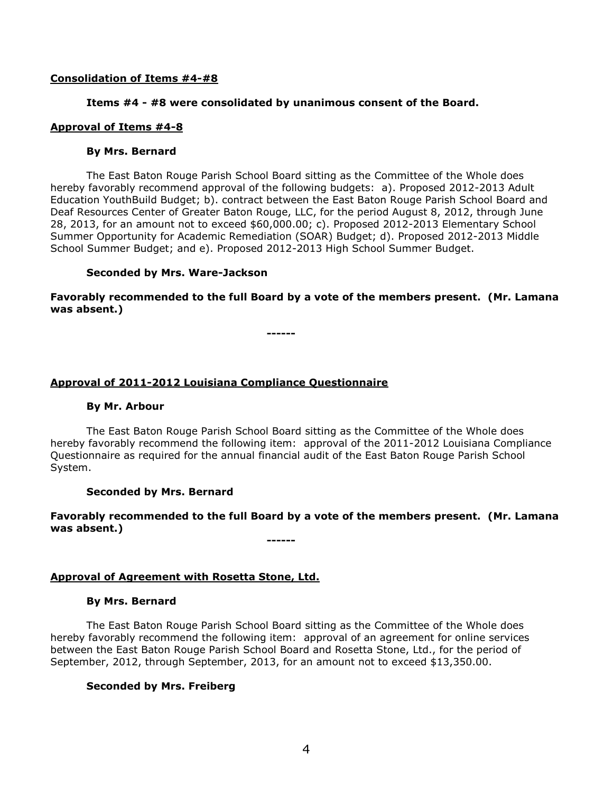## **Consolidation of Items #4-#8**

## **Items #4 - #8 were consolidated by unanimous consent of the Board.**

## **Approval of Items #4-8**

### **By Mrs. Bernard**

The East Baton Rouge Parish School Board sitting as the Committee of the Whole does hereby favorably recommend approval of the following budgets: a). Proposed 2012-2013 Adult Education YouthBuild Budget; b). contract between the East Baton Rouge Parish School Board and Deaf Resources Center of Greater Baton Rouge, LLC, for the period August 8, 2012, through June 28, 2013, for an amount not to exceed \$60,000.00; c). Proposed 2012-2013 Elementary School Summer Opportunity for Academic Remediation (SOAR) Budget; d). Proposed 2012-2013 Middle School Summer Budget; and e). Proposed 2012-2013 High School Summer Budget.

## **Seconded by Mrs. Ware-Jackson**

**Favorably recommended to the full Board by a vote of the members present. (Mr. Lamana was absent.)**

**------**

## **Approval of 2011-2012 Louisiana Compliance Questionnaire**

### **By Mr. Arbour**

The East Baton Rouge Parish School Board sitting as the Committee of the Whole does hereby favorably recommend the following item: approval of the 2011-2012 Louisiana Compliance Questionnaire as required for the annual financial audit of the East Baton Rouge Parish School System.

### **Seconded by Mrs. Bernard**

## **Favorably recommended to the full Board by a vote of the members present. (Mr. Lamana was absent.)**

**------**

## **Approval of Agreement with Rosetta Stone, Ltd.**

### **By Mrs. Bernard**

The East Baton Rouge Parish School Board sitting as the Committee of the Whole does hereby favorably recommend the following item: approval of an agreement for online services between the East Baton Rouge Parish School Board and Rosetta Stone, Ltd., for the period of September, 2012, through September, 2013, for an amount not to exceed \$13,350.00.

## **Seconded by Mrs. Freiberg**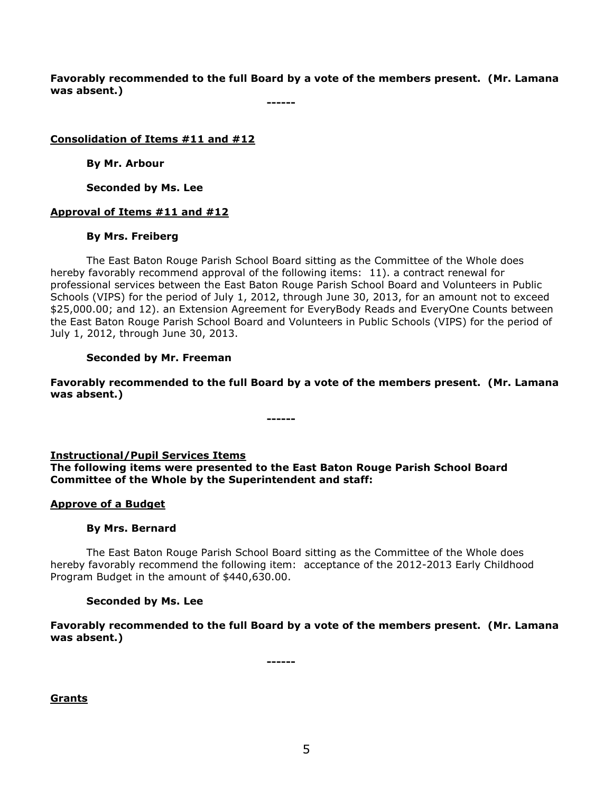**Favorably recommended to the full Board by a vote of the members present. (Mr. Lamana was absent.)**

**------**

## **Consolidation of Items #11 and #12**

**By Mr. Arbour**

**Seconded by Ms. Lee**

## **Approval of Items #11 and #12**

## **By Mrs. Freiberg**

The East Baton Rouge Parish School Board sitting as the Committee of the Whole does hereby favorably recommend approval of the following items: 11). a contract renewal for professional services between the East Baton Rouge Parish School Board and Volunteers in Public Schools (VIPS) for the period of July 1, 2012, through June 30, 2013, for an amount not to exceed \$25,000.00; and 12). an Extension Agreement for EveryBody Reads and EveryOne Counts between the East Baton Rouge Parish School Board and Volunteers in Public Schools (VIPS) for the period of July 1, 2012, through June 30, 2013.

## **Seconded by Mr. Freeman**

**Favorably recommended to the full Board by a vote of the members present. (Mr. Lamana was absent.)**

# **Instructional/Pupil Services Items**

**The following items were presented to the East Baton Rouge Parish School Board Committee of the Whole by the Superintendent and staff:**

**------**

## **Approve of a Budget**

## **By Mrs. Bernard**

The East Baton Rouge Parish School Board sitting as the Committee of the Whole does hereby favorably recommend the following item: acceptance of the 2012-2013 Early Childhood Program Budget in the amount of \$440,630.00.

## **Seconded by Ms. Lee**

**Favorably recommended to the full Board by a vote of the members present. (Mr. Lamana was absent.)**

**------**

**Grants**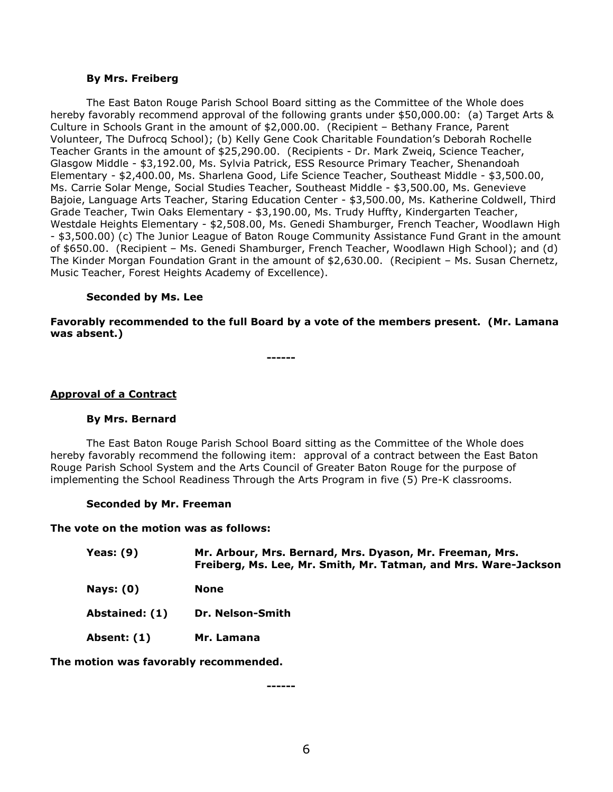#### **By Mrs. Freiberg**

The East Baton Rouge Parish School Board sitting as the Committee of the Whole does hereby favorably recommend approval of the following grants under \$50,000.00: (a) Target Arts & Culture in Schools Grant in the amount of \$2,000.00. (Recipient – Bethany France, Parent Volunteer, The Dufrocq School); (b) Kelly Gene Cook Charitable Foundation's Deborah Rochelle Teacher Grants in the amount of \$25,290.00. (Recipients - Dr. Mark Zweiq, Science Teacher, Glasgow Middle - \$3,192.00, Ms. Sylvia Patrick, ESS Resource Primary Teacher, Shenandoah Elementary - \$2,400.00, Ms. Sharlena Good, Life Science Teacher, Southeast Middle - \$3,500.00, Ms. Carrie Solar Menge, Social Studies Teacher, Southeast Middle - \$3,500.00, Ms. Genevieve Bajoie, Language Arts Teacher, Staring Education Center - \$3,500.00, Ms. Katherine Coldwell, Third Grade Teacher, Twin Oaks Elementary - \$3,190.00, Ms. Trudy Huffty, Kindergarten Teacher, Westdale Heights Elementary - \$2,508.00, Ms. Genedi Shamburger, French Teacher, Woodlawn High - \$3,500.00) (c) The Junior League of Baton Rouge Community Assistance Fund Grant in the amount of \$650.00. (Recipient – Ms. Genedi Shamburger, French Teacher, Woodlawn High School); and (d) The Kinder Morgan Foundation Grant in the amount of \$2,630.00. (Recipient – Ms. Susan Chernetz, Music Teacher, Forest Heights Academy of Excellence).

## **Seconded by Ms. Lee**

**Favorably recommended to the full Board by a vote of the members present. (Mr. Lamana was absent.)**

**------**

### **Approval of a Contract**

### **By Mrs. Bernard**

The East Baton Rouge Parish School Board sitting as the Committee of the Whole does hereby favorably recommend the following item: approval of a contract between the East Baton Rouge Parish School System and the Arts Council of Greater Baton Rouge for the purpose of implementing the School Readiness Through the Arts Program in five (5) Pre-K classrooms.

### **Seconded by Mr. Freeman**

### **The vote on the motion was as follows:**

| Yeas: $(9)$    | Mr. Arbour, Mrs. Bernard, Mrs. Dyason, Mr. Freeman, Mrs.<br>Freiberg, Ms. Lee, Mr. Smith, Mr. Tatman, and Mrs. Ware-Jackson |
|----------------|-----------------------------------------------------------------------------------------------------------------------------|
| Nays: $(0)$    | None                                                                                                                        |
| Abstained: (1) | <b>Dr. Nelson-Smith</b>                                                                                                     |
| Absent: (1)    | Mr. Lamana                                                                                                                  |
|                |                                                                                                                             |

**The motion was favorably recommended.**

**------**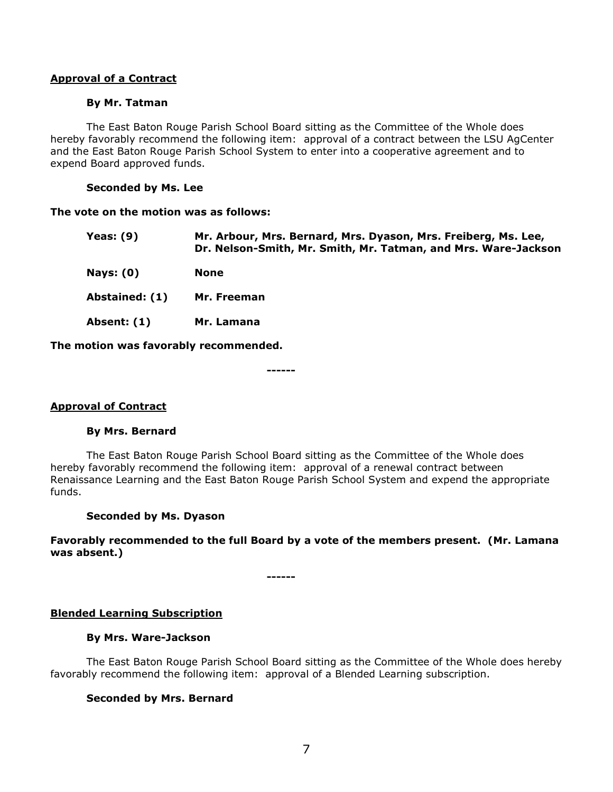## **Approval of a Contract**

### **By Mr. Tatman**

The East Baton Rouge Parish School Board sitting as the Committee of the Whole does hereby favorably recommend the following item: approval of a contract between the LSU AgCenter and the East Baton Rouge Parish School System to enter into a cooperative agreement and to expend Board approved funds.

## **Seconded by Ms. Lee**

### **The vote on the motion was as follows:**

| Yeas: $(9)$                           | Mr. Arbour, Mrs. Bernard, Mrs. Dyason, Mrs. Freiberg, Ms. Lee,<br>Dr. Nelson-Smith, Mr. Smith, Mr. Tatman, and Mrs. Ware-Jackson |
|---------------------------------------|----------------------------------------------------------------------------------------------------------------------------------|
| Nays: $(0)$                           | <b>None</b>                                                                                                                      |
| Abstained: (1)                        | Mr. Freeman                                                                                                                      |
| Absent: (1)                           | Mr. Lamana                                                                                                                       |
| The motion was favorably recommended. |                                                                                                                                  |

**------**

## **Approval of Contract**

### **By Mrs. Bernard**

The East Baton Rouge Parish School Board sitting as the Committee of the Whole does hereby favorably recommend the following item: approval of a renewal contract between Renaissance Learning and the East Baton Rouge Parish School System and expend the appropriate funds.

### **Seconded by Ms. Dyason**

**Favorably recommended to the full Board by a vote of the members present. (Mr. Lamana was absent.)**

**------**

## **Blended Learning Subscription**

## **By Mrs. Ware-Jackson**

The East Baton Rouge Parish School Board sitting as the Committee of the Whole does hereby favorably recommend the following item: approval of a Blended Learning subscription.

## **Seconded by Mrs. Bernard**